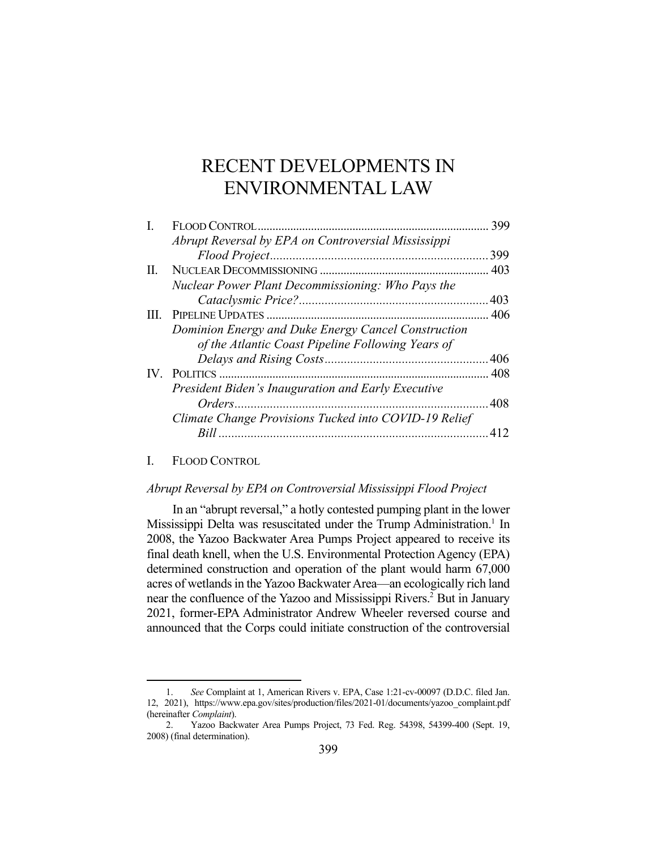# RECENT DEVELOPMENTS IN ENVIRONMENTAL LAW

| I. |                                                       | 399  |
|----|-------------------------------------------------------|------|
|    | Abrupt Reversal by EPA on Controversial Mississippi   |      |
|    |                                                       | 399  |
| Н. |                                                       |      |
|    | Nuclear Power Plant Decommissioning: Who Pays the     |      |
|    |                                                       |      |
|    |                                                       |      |
|    | Dominion Energy and Duke Energy Cancel Construction   |      |
|    | of the Atlantic Coast Pipeline Following Years of     |      |
|    |                                                       |      |
|    |                                                       |      |
|    | President Biden's Inauguration and Early Executive    |      |
|    |                                                       | .408 |
|    | Climate Change Provisions Tucked into COVID-19 Relief |      |
|    |                                                       |      |
|    |                                                       |      |

#### I. FLOOD CONTROL

## *Abrupt Reversal by EPA on Controversial Mississippi Flood Project*

 In an "abrupt reversal," a hotly contested pumping plant in the lower Mississippi Delta was resuscitated under the Trump Administration.<sup>1</sup> In 2008, the Yazoo Backwater Area Pumps Project appeared to receive its final death knell, when the U.S. Environmental Protection Agency (EPA) determined construction and operation of the plant would harm 67,000 acres of wetlands in the Yazoo Backwater Area—an ecologically rich land near the confluence of the Yazoo and Mississippi Rivers.<sup>2</sup> But in January 2021, former-EPA Administrator Andrew Wheeler reversed course and announced that the Corps could initiate construction of the controversial

 <sup>1.</sup> *See* Complaint at 1, American Rivers v. EPA, Case 1:21-cv-00097 (D.D.C. filed Jan. 12, 2021), https://www.epa.gov/sites/production/files/2021-01/documents/yazoo\_complaint.pdf (hereinafter *Complaint*).

 <sup>2.</sup> Yazoo Backwater Area Pumps Project, 73 Fed. Reg. 54398, 54399-400 (Sept. 19, 2008) (final determination).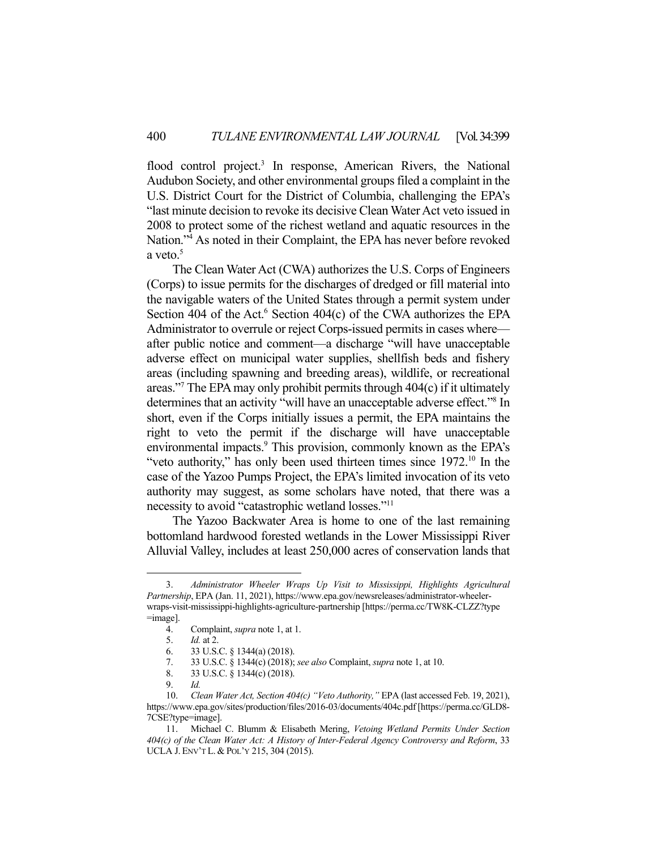flood control project.<sup>3</sup> In response, American Rivers, the National Audubon Society, and other environmental groups filed a complaint in the U.S. District Court for the District of Columbia, challenging the EPA's "last minute decision to revoke its decisive Clean Water Act veto issued in 2008 to protect some of the richest wetland and aquatic resources in the Nation."4 As noted in their Complaint, the EPA has never before revoked a veto. $5$ 

 The Clean Water Act (CWA) authorizes the U.S. Corps of Engineers (Corps) to issue permits for the discharges of dredged or fill material into the navigable waters of the United States through a permit system under Section 404 of the Act.<sup>6</sup> Section 404(c) of the CWA authorizes the EPA Administrator to overrule or reject Corps-issued permits in cases where after public notice and comment—a discharge "will have unacceptable adverse effect on municipal water supplies, shellfish beds and fishery areas (including spawning and breeding areas), wildlife, or recreational areas."7 The EPA may only prohibit permits through 404(c) if it ultimately determines that an activity "will have an unacceptable adverse effect."<sup>8</sup> In short, even if the Corps initially issues a permit, the EPA maintains the right to veto the permit if the discharge will have unacceptable environmental impacts.<sup>9</sup> This provision, commonly known as the EPA's "veto authority," has only been used thirteen times since 1972.<sup>10</sup> In the case of the Yazoo Pumps Project, the EPA's limited invocation of its veto authority may suggest, as some scholars have noted, that there was a necessity to avoid "catastrophic wetland losses."11

 The Yazoo Backwater Area is home to one of the last remaining bottomland hardwood forested wetlands in the Lower Mississippi River Alluvial Valley, includes at least 250,000 acres of conservation lands that

 <sup>3.</sup> *Administrator Wheeler Wraps Up Visit to Mississippi, Highlights Agricultural Partnership*, EPA (Jan. 11, 2021), https://www.epa.gov/newsreleases/administrator-wheelerwraps-visit-mississippi-highlights-agriculture-partnership [https://perma.cc/TW8K-CLZZ?type =image].

 <sup>4.</sup> Complaint, *supra* note 1, at 1.

 <sup>5.</sup> *Id.* at 2.

 <sup>6. 33</sup> U.S.C. § 1344(a) (2018).

 <sup>7. 33</sup> U.S.C. § 1344(c) (2018); *see also* Complaint, *supra* note 1, at 10.

 <sup>8. 33</sup> U.S.C. § 1344(c) (2018).

 <sup>9.</sup> *Id.*

 <sup>10.</sup> *Clean Water Act, Section 404(c) "Veto Authority,"* EPA (last accessed Feb. 19, 2021), https://www.epa.gov/sites/production/files/2016-03/documents/404c.pdf [https://perma.cc/GLD8- 7CSE?type=image].

 <sup>11.</sup> Michael C. Blumm & Elisabeth Mering, *Vetoing Wetland Permits Under Section 404(c) of the Clean Water Act: A History of Inter-Federal Agency Controversy and Reform*, 33 UCLA J. ENV'T L. & POL'Y 215, 304 (2015).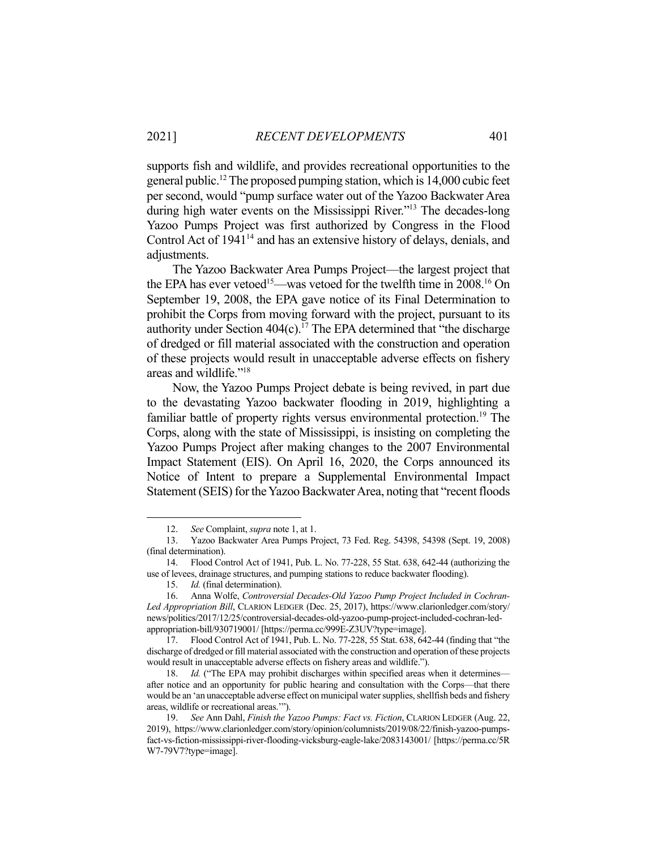supports fish and wildlife, and provides recreational opportunities to the general public.12 The proposed pumping station, which is 14,000 cubic feet per second, would "pump surface water out of the Yazoo Backwater Area during high water events on the Mississippi River."13 The decades-long Yazoo Pumps Project was first authorized by Congress in the Flood Control Act of 1941<sup>14</sup> and has an extensive history of delays, denials, and

 The Yazoo Backwater Area Pumps Project—the largest project that the EPA has ever vetoed<sup>15</sup>—was vetoed for the twelfth time in  $2008<sup>16</sup>$  On September 19, 2008, the EPA gave notice of its Final Determination to prohibit the Corps from moving forward with the project, pursuant to its authority under Section  $404(c)$ .<sup>17</sup> The EPA determined that "the discharge" of dredged or fill material associated with the construction and operation of these projects would result in unacceptable adverse effects on fishery areas and wildlife."18

 Now, the Yazoo Pumps Project debate is being revived, in part due to the devastating Yazoo backwater flooding in 2019, highlighting a familiar battle of property rights versus environmental protection.<sup>19</sup> The Corps, along with the state of Mississippi, is insisting on completing the Yazoo Pumps Project after making changes to the 2007 Environmental Impact Statement (EIS). On April 16, 2020, the Corps announced its Notice of Intent to prepare a Supplemental Environmental Impact Statement (SEIS) for the Yazoo Backwater Area, noting that "recent floods

adjustments.

 <sup>12.</sup> *See* Complaint, *supra* note 1, at 1.

 <sup>13.</sup> Yazoo Backwater Area Pumps Project, 73 Fed. Reg. 54398, 54398 (Sept. 19, 2008) (final determination).

 <sup>14.</sup> Flood Control Act of 1941, Pub. L. No. 77-228, 55 Stat. 638, 642-44 (authorizing the use of levees, drainage structures, and pumping stations to reduce backwater flooding).

 <sup>15.</sup> *Id.* (final determination).

 <sup>16.</sup> Anna Wolfe, *Controversial Decades-Old Yazoo Pump Project Included in Cochran-Led Appropriation Bill*, CLARION LEDGER (Dec. 25, 2017), https://www.clarionledger.com/story/ news/politics/2017/12/25/controversial-decades-old-yazoo-pump-project-included-cochran-ledappropriation-bill/930719001/ [https://perma.cc/999E-Z3UV?type=image].

 <sup>17.</sup> Flood Control Act of 1941, Pub. L. No. 77-228, 55 Stat. 638, 642-44 (finding that "the discharge of dredged or fill material associated with the construction and operation of these projects would result in unacceptable adverse effects on fishery areas and wildlife.").

<sup>18.</sup> *Id.* ("The EPA may prohibit discharges within specified areas when it determines after notice and an opportunity for public hearing and consultation with the Corps—that there would be an 'an unacceptable adverse effect on municipal water supplies, shellfish beds and fishery areas, wildlife or recreational areas.'").

 <sup>19.</sup> *See* Ann Dahl, *Finish the Yazoo Pumps: Fact vs. Fiction*, CLARION LEDGER (Aug. 22, 2019), https://www.clarionledger.com/story/opinion/columnists/2019/08/22/finish-yazoo-pumpsfact-vs-fiction-mississippi-river-flooding-vicksburg-eagle-lake/2083143001/ [https://perma.cc/5R W7-79V7?type=image].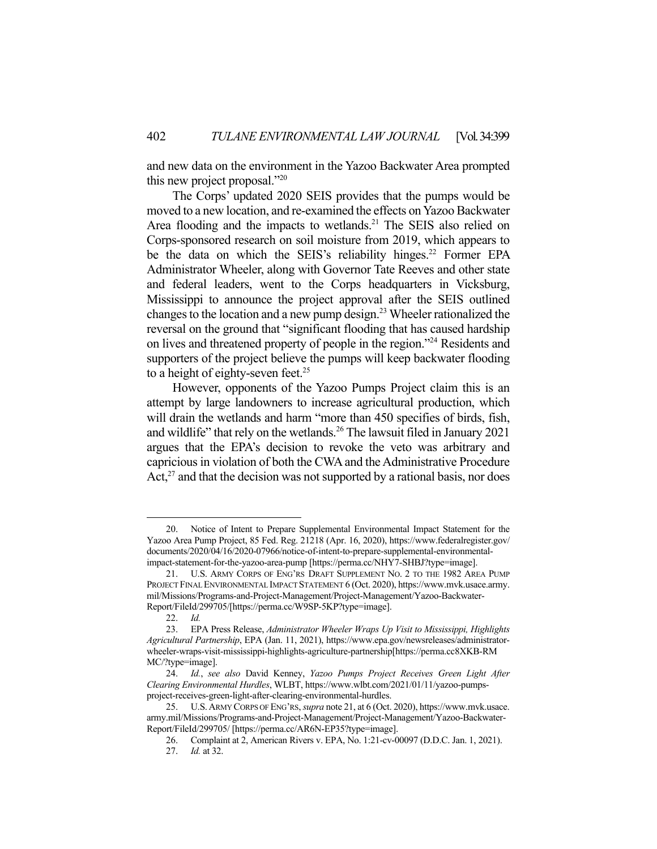and new data on the environment in the Yazoo Backwater Area prompted this new project proposal."20

 The Corps' updated 2020 SEIS provides that the pumps would be moved to a new location, and re-examined the effects on Yazoo Backwater Area flooding and the impacts to wetlands.<sup>21</sup> The SEIS also relied on Corps-sponsored research on soil moisture from 2019, which appears to be the data on which the SEIS's reliability hinges.<sup>22</sup> Former EPA Administrator Wheeler, along with Governor Tate Reeves and other state and federal leaders, went to the Corps headquarters in Vicksburg, Mississippi to announce the project approval after the SEIS outlined changes to the location and a new pump design.23 Wheeler rationalized the reversal on the ground that "significant flooding that has caused hardship on lives and threatened property of people in the region."24 Residents and supporters of the project believe the pumps will keep backwater flooding to a height of eighty-seven feet.<sup>25</sup>

 However, opponents of the Yazoo Pumps Project claim this is an attempt by large landowners to increase agricultural production, which will drain the wetlands and harm "more than 450 specifies of birds, fish, and wildlife" that rely on the wetlands.<sup>26</sup> The lawsuit filed in January 2021 argues that the EPA's decision to revoke the veto was arbitrary and capricious in violation of both the CWA and the Administrative Procedure  $Act<sub>1</sub><sup>27</sup>$  and that the decision was not supported by a rational basis, nor does

 <sup>20.</sup> Notice of Intent to Prepare Supplemental Environmental Impact Statement for the Yazoo Area Pump Project, 85 Fed. Reg. 21218 (Apr. 16, 2020), https://www.federalregister.gov/ documents/2020/04/16/2020-07966/notice-of-intent-to-prepare-supplemental-environmentalimpact-statement-for-the-yazoo-area-pump [https://perma.cc/NHY7-SHBJ?type=image].

 <sup>21.</sup> U.S. ARMY CORPS OF ENG'RS DRAFT SUPPLEMENT NO. 2 TO THE 1982 AREA PUMP PROJECT FINAL ENVIRONMENTAL IMPACT STATEMENT 6 (Oct. 2020), https://www.mvk.usace.army. mil/Missions/Programs-and-Project-Management/Project-Management/Yazoo-Backwater-Report/FileId/299705/[https://perma.cc/W9SP-5KP?type=image].

 <sup>22.</sup> *Id.*

 <sup>23.</sup> EPA Press Release, *Administrator Wheeler Wraps Up Visit to Mississippi, Highlights Agricultural Partnership*, EPA (Jan. 11, 2021), https://www.epa.gov/newsreleases/administratorwheeler-wraps-visit-mississippi-highlights-agriculture-partnership[https://perma.cc8XKB-RM MC/?type=image].

 <sup>24.</sup> *Id.*, *see also* David Kenney, *Yazoo Pumps Project Receives Green Light After Clearing Environmental Hurdles*, WLBT, https://www.wlbt.com/2021/01/11/yazoo-pumpsproject-receives-green-light-after-clearing-environmental-hurdles.

 <sup>25.</sup> U.S.ARMY CORPS OF ENG'RS, *supra* note 21, at 6 (Oct. 2020), https://www.mvk.usace. army.mil/Missions/Programs-and-Project-Management/Project-Management/Yazoo-Backwater-Report/FileId/299705/ [https://perma.cc/AR6N-EP35?type=image].

 <sup>26.</sup> Complaint at 2, American Rivers v. EPA, No. 1:21-cv-00097 (D.D.C. Jan. 1, 2021). 27. *Id.* at 32.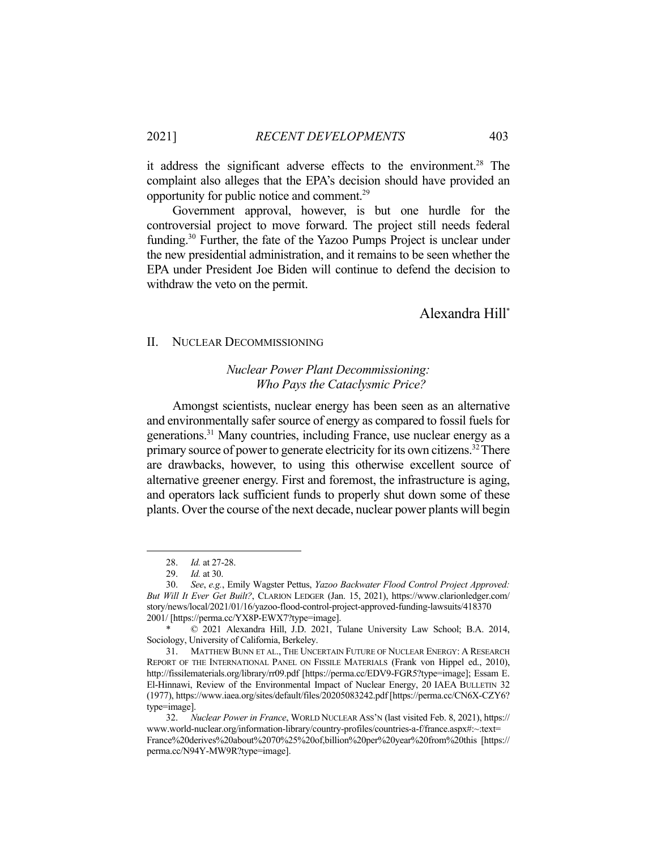it address the significant adverse effects to the environment.<sup>28</sup> The complaint also alleges that the EPA's decision should have provided an opportunity for public notice and comment.29

 Government approval, however, is but one hurdle for the controversial project to move forward. The project still needs federal funding.30 Further, the fate of the Yazoo Pumps Project is unclear under the new presidential administration, and it remains to be seen whether the EPA under President Joe Biden will continue to defend the decision to withdraw the veto on the permit.

# Alexandra Hill\*

#### II. NUCLEAR DECOMMISSIONING

# *Nuclear Power Plant Decommissioning: Who Pays the Cataclysmic Price?*

 Amongst scientists, nuclear energy has been seen as an alternative and environmentally safer source of energy as compared to fossil fuels for generations.31 Many countries, including France, use nuclear energy as a primary source of power to generate electricity for its own citizens.<sup>32</sup> There are drawbacks, however, to using this otherwise excellent source of alternative greener energy. First and foremost, the infrastructure is aging, and operators lack sufficient funds to properly shut down some of these plants. Over the course of the next decade, nuclear power plants will begin

 <sup>28.</sup> *Id.* at 27-28.

 <sup>29.</sup> *Id.* at 30.

 <sup>30.</sup> *See*, *e.g.*, Emily Wagster Pettus, *Yazoo Backwater Flood Control Project Approved: But Will It Ever Get Built?*, CLARION LEDGER (Jan. 15, 2021), https://www.clarionledger.com/ story/news/local/2021/01/16/yazoo-flood-control-project-approved-funding-lawsuits/418370 2001/ [https://perma.cc/YX8P-EWX7?type=image].

 $\odot$  2021 Alexandra Hill, J.D. 2021, Tulane University Law School; B.A. 2014, Sociology, University of California, Berkeley.

 <sup>31.</sup> MATTHEW BUNN ET AL., THE UNCERTAIN FUTURE OF NUCLEAR ENERGY: A RESEARCH REPORT OF THE INTERNATIONAL PANEL ON FISSILE MATERIALS (Frank von Hippel ed., 2010), http://fissilematerials.org/library/rr09.pdf [https://perma.cc/EDV9-FGR5?type=image]; Essam E. El-Hinnawi, Review of the Environmental Impact of Nuclear Energy, 20 IAEA BULLETIN 32 (1977), https://www.iaea.org/sites/default/files/20205083242.pdf [https://perma.cc/CN6X-CZY6? type=image].

 <sup>32.</sup> *Nuclear Power in France*, WORLD NUCLEAR ASS'N (last visited Feb. 8, 2021), https:// www.world-nuclear.org/information-library/country-profiles/countries-a-f/france.aspx#:~:text= France%20derives%20about%2070%25%20of,billion%20per%20year%20from%20this [https:// perma.cc/N94Y-MW9R?type=image].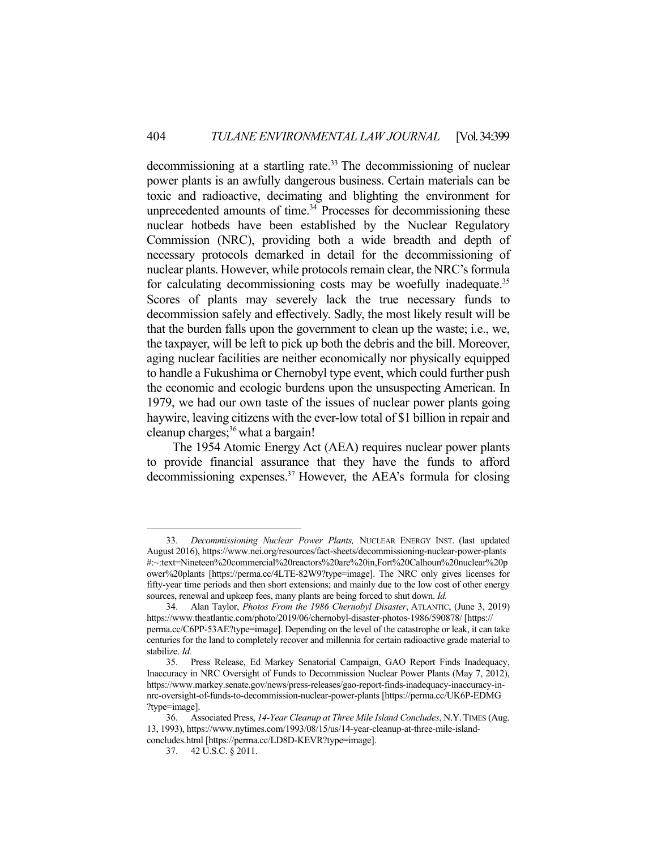$decommissioning$  at a startling rate.<sup>33</sup> The decommissioning of nuclear power plants is an awfully dangerous business. Certain materials can be toxic and radioactive, decimating and blighting the environment for unprecedented amounts of time.<sup>34</sup> Processes for decommissioning these nuclear hotbeds have been established by the Nuclear Regulatory Commission (NRC), providing both a wide breadth and depth of necessary protocols demarked in detail for the decommissioning of nuclear plants. However, while protocols remain clear, the NRC's formula for calculating decommissioning costs may be woefully inadequate.<sup>35</sup> Scores of plants may severely lack the true necessary funds to decommission safely and effectively. Sadly, the most likely result will be that the burden falls upon the government to clean up the waste; i.e., we, the taxpayer, will be left to pick up both the debris and the bill. Moreover, aging nuclear facilities are neither economically nor physically equipped to handle a Fukushima or Chernobyl type event, which could further push the economic and ecologic burdens upon the unsuspecting American. In 1979, we had our own taste of the issues of nuclear power plants going haywire, leaving citizens with the ever-low total of \$1 billion in repair and cleanup charges;36 what a bargain!

 The 1954 Atomic Energy Act (AEA) requires nuclear power plants to provide financial assurance that they have the funds to afford decommissioning expenses.37 However, the AEA's formula for closing

 <sup>33.</sup> *Decommissioning Nuclear Power Plants,* NUCLEAR ENERGY INST. (last updated August 2016), https://www.nei.org/resources/fact-sheets/decommissioning-nuclear-power-plants #:~:text=Nineteen%20commercial%20reactors%20are%20in,Fort%20Calhoun%20nuclear%20p ower%20plants [https://perma.cc/4LTE-82W9?type=image]. The NRC only gives licenses for fifty-year time periods and then short extensions; and mainly due to the low cost of other energy sources, renewal and upkeep fees, many plants are being forced to shut down. *Id.*

 <sup>34.</sup> Alan Taylor, *Photos From the 1986 Chernobyl Disaster*, ATLANTIC, (June 3, 2019) https://www.theatlantic.com/photo/2019/06/chernobyl-disaster-photos-1986/590878/ [https:// perma.cc/C6PP-53AE?type=image]. Depending on the level of the catastrophe or leak, it can take centuries for the land to completely recover and millennia for certain radioactive grade material to stabilize. *Id.*

 <sup>35.</sup> Press Release, Ed Markey Senatorial Campaign, GAO Report Finds Inadequacy, Inaccuracy in NRC Oversight of Funds to Decommission Nuclear Power Plants (May 7, 2012), https://www.markey.senate.gov/news/press-releases/gao-report-finds-inadequacy-inaccuracy-innrc-oversight-of-funds-to-decommission-nuclear-power-plants [https://perma.cc/UK6P-EDMG ?type=image].

 <sup>36.</sup> Associated Press, *14-Year Cleanup at Three Mile Island Concludes*, N.Y.TIMES (Aug. 13, 1993), https://www.nytimes.com/1993/08/15/us/14-year-cleanup-at-three-mile-islandconcludes.html [https://perma.cc/LD8D-KEVR?type=image].

 <sup>37. 42</sup> U.S.C. § 2011.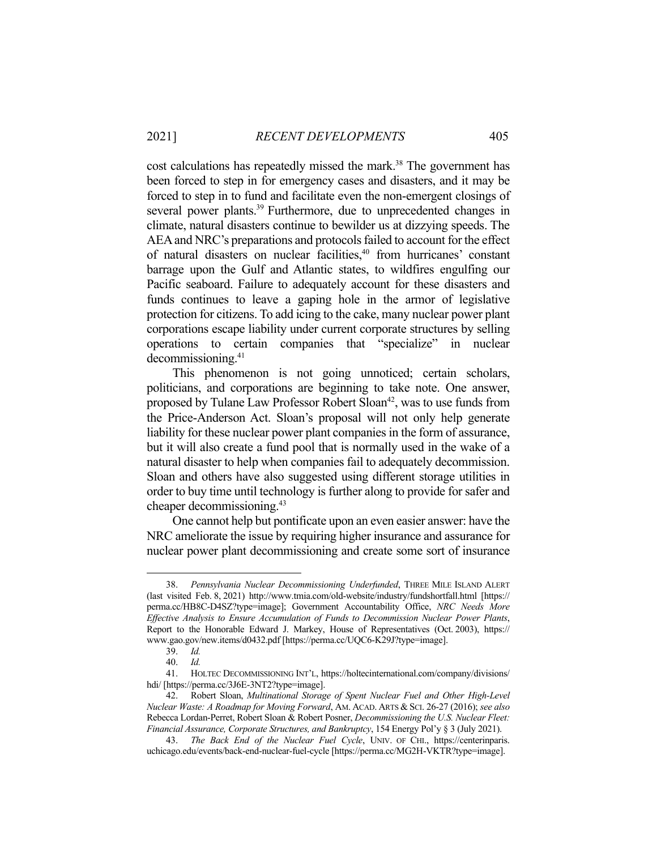cost calculations has repeatedly missed the mark.<sup>38</sup> The government has been forced to step in for emergency cases and disasters, and it may be forced to step in to fund and facilitate even the non-emergent closings of several power plants.<sup>39</sup> Furthermore, due to unprecedented changes in climate, natural disasters continue to bewilder us at dizzying speeds. The AEA and NRC's preparations and protocols failed to account for the effect of natural disasters on nuclear facilities,40 from hurricanes' constant barrage upon the Gulf and Atlantic states, to wildfires engulfing our Pacific seaboard. Failure to adequately account for these disasters and funds continues to leave a gaping hole in the armor of legislative protection for citizens. To add icing to the cake, many nuclear power plant corporations escape liability under current corporate structures by selling operations to certain companies that "specialize" in nuclear decommissioning.41

 This phenomenon is not going unnoticed; certain scholars, politicians, and corporations are beginning to take note. One answer, proposed by Tulane Law Professor Robert Sloan<sup>42</sup>, was to use funds from the Price-Anderson Act. Sloan's proposal will not only help generate liability for these nuclear power plant companies in the form of assurance, but it will also create a fund pool that is normally used in the wake of a natural disaster to help when companies fail to adequately decommission. Sloan and others have also suggested using different storage utilities in order to buy time until technology is further along to provide for safer and cheaper decommissioning.43

 One cannot help but pontificate upon an even easier answer: have the NRC ameliorate the issue by requiring higher insurance and assurance for nuclear power plant decommissioning and create some sort of insurance

 <sup>38.</sup> *Pennsylvania Nuclear Decommissioning Underfunded*, THREE MILE ISLAND ALERT (last visited Feb. 8, 2021) http://www.tmia.com/old-website/industry/fundshortfall.html [https:// perma.cc/HB8C-D4SZ?type=image]; Government Accountability Office, *NRC Needs More Effective Analysis to Ensure Accumulation of Funds to Decommission Nuclear Power Plants*, Report to the Honorable Edward J. Markey, House of Representatives (Oct. 2003), https:// www.gao.gov/new.items/d0432.pdf [https://perma.cc/UQC6-K29J?type=image].

 <sup>39.</sup> *Id.*

 <sup>40.</sup> *Id.*

 <sup>41.</sup> HOLTEC DECOMMISSIONING INT'L, https://holtecinternational.com/company/divisions/ hdi/ [https://perma.cc/3J6E-3NT2?type=image].

 <sup>42.</sup> Robert Sloan, *Multinational Storage of Spent Nuclear Fuel and Other High-Level Nuclear Waste: A Roadmap for Moving Forward*, AM. ACAD. ARTS & SCI. 26-27 (2016); *see also*  Rebecca Lordan-Perret, Robert Sloan & Robert Posner, *Decommissioning the U.S. Nuclear Fleet: Financial Assurance, Corporate Structures, and Bankruptcy*, 154 Energy Pol'y § 3 (July 2021).

 <sup>43.</sup> *The Back End of the Nuclear Fuel Cycle*, UNIV. OF CHI., https://centerinparis. uchicago.edu/events/back-end-nuclear-fuel-cycle [https://perma.cc/MG2H-VKTR?type=image].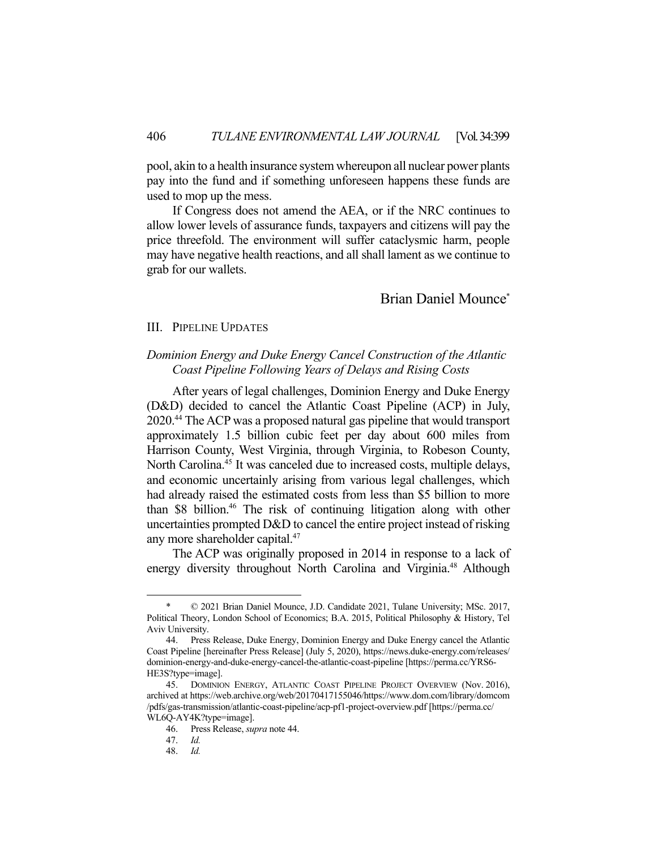pool, akin to a health insurance system whereupon all nuclear power plants pay into the fund and if something unforeseen happens these funds are used to mop up the mess.

 If Congress does not amend the AEA, or if the NRC continues to allow lower levels of assurance funds, taxpayers and citizens will pay the price threefold. The environment will suffer cataclysmic harm, people may have negative health reactions, and all shall lament as we continue to grab for our wallets.

# Brian Daniel Mounce\*

#### III. PIPELINE UPDATES

# *Dominion Energy and Duke Energy Cancel Construction of the Atlantic Coast Pipeline Following Years of Delays and Rising Costs*

 After years of legal challenges, Dominion Energy and Duke Energy (D&D) decided to cancel the Atlantic Coast Pipeline (ACP) in July, 2020.44 The ACP was a proposed natural gas pipeline that would transport approximately 1.5 billion cubic feet per day about 600 miles from Harrison County, West Virginia, through Virginia, to Robeson County, North Carolina.<sup>45</sup> It was canceled due to increased costs, multiple delays, and economic uncertainly arising from various legal challenges, which had already raised the estimated costs from less than \$5 billion to more than \$8 billion.46 The risk of continuing litigation along with other uncertainties prompted D&D to cancel the entire project instead of risking any more shareholder capital.<sup>47</sup>

 The ACP was originally proposed in 2014 in response to a lack of energy diversity throughout North Carolina and Virginia.<sup>48</sup> Although

 $© 2021 Brian Daniel Mounce, J.D. Candidate 2021, Tulane University; MSC. 2017,$ Political Theory, London School of Economics; B.A. 2015, Political Philosophy & History, Tel Aviv University.

 <sup>44.</sup> Press Release, Duke Energy, Dominion Energy and Duke Energy cancel the Atlantic Coast Pipeline [hereinafter Press Release] (July 5, 2020), https://news.duke-energy.com/releases/ dominion-energy-and-duke-energy-cancel-the-atlantic-coast-pipeline [https://perma.cc/YRS6- HE3S?type=image].

<sup>45.</sup> DOMINION ENERGY, ATLANTIC COAST PIPELINE PROJECT OVERVIEW (Nov. 2016), archived at https://web.archive.org/web/20170417155046/https://www.dom.com/library/domcom /pdfs/gas-transmission/atlantic-coast-pipeline/acp-pf1-project-overview.pdf [https://perma.cc/ WL6Q-AY4K?type=image].

 <sup>46.</sup> Press Release, *supra* note 44.

 <sup>47.</sup> *Id.* 

 <sup>48.</sup> *Id.*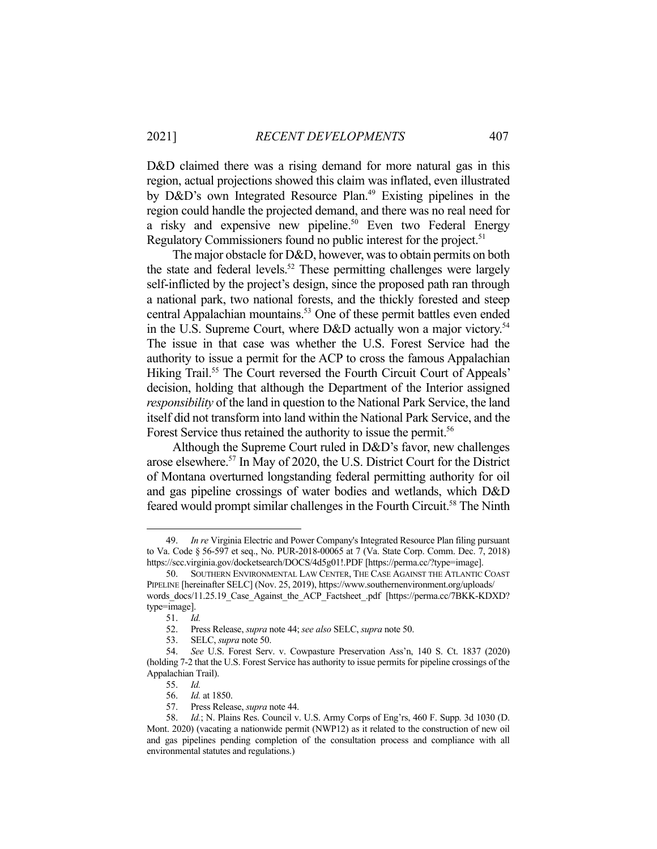D&D claimed there was a rising demand for more natural gas in this region, actual projections showed this claim was inflated, even illustrated by D&D's own Integrated Resource Plan.<sup>49</sup> Existing pipelines in the region could handle the projected demand, and there was no real need for a risky and expensive new pipeline.<sup>50</sup> Even two Federal Energy Regulatory Commissioners found no public interest for the project.<sup>51</sup>

 The major obstacle for D&D, however, was to obtain permits on both the state and federal levels.<sup>52</sup> These permitting challenges were largely self-inflicted by the project's design, since the proposed path ran through a national park, two national forests, and the thickly forested and steep central Appalachian mountains.53 One of these permit battles even ended in the U.S. Supreme Court, where D&D actually won a major victory.<sup>54</sup> The issue in that case was whether the U.S. Forest Service had the authority to issue a permit for the ACP to cross the famous Appalachian Hiking Trail.<sup>55</sup> The Court reversed the Fourth Circuit Court of Appeals' decision, holding that although the Department of the Interior assigned *responsibility* of the land in question to the National Park Service, the land itself did not transform into land within the National Park Service, and the Forest Service thus retained the authority to issue the permit.<sup>56</sup>

 Although the Supreme Court ruled in D&D's favor, new challenges arose elsewhere.57 In May of 2020, the U.S. District Court for the District of Montana overturned longstanding federal permitting authority for oil and gas pipeline crossings of water bodies and wetlands, which D&D feared would prompt similar challenges in the Fourth Circuit.<sup>58</sup> The Ninth

 <sup>49.</sup> *In re* Virginia Electric and Power Company's Integrated Resource Plan filing pursuant to Va. Code § 56-597 et seq., No. PUR-2018-00065 at 7 (Va. State Corp. Comm. Dec. 7, 2018) https://scc.virginia.gov/docketsearch/DOCS/4d5g01!.PDF [https://perma.cc/?type=image].

 <sup>50.</sup> SOUTHERN ENVIRONMENTAL LAW CENTER, THE CASE AGAINST THE ATLANTIC COAST PIPELINE [hereinafter SELC] (Nov. 25, 2019), https://www.southernenvironment.org/uploads/ words docs/11.25.19 Case Against the ACP Factsheet .pdf [https://perma.cc/7BKK-KDXD? type=image].

 <sup>51.</sup> *Id.* 

 <sup>52.</sup> Press Release, *supra* note 44; *see also* SELC, *supra* note 50.

 <sup>53.</sup> SELC, *supra* note 50.

 <sup>54.</sup> *See* U.S. Forest Serv. v. Cowpasture Preservation Ass'n, 140 S. Ct. 1837 (2020) (holding 7-2 that the U.S. Forest Service has authority to issue permits for pipeline crossings of the Appalachian Trail).

 <sup>55.</sup> *Id.* 

 <sup>56.</sup> *Id.* at 1850.

 <sup>57.</sup> Press Release, *supra* note 44.

 <sup>58.</sup> *Id.*; N. Plains Res. Council v. U.S. Army Corps of Eng'rs, 460 F. Supp. 3d 1030 (D. Mont. 2020) (vacating a nationwide permit (NWP12) as it related to the construction of new oil and gas pipelines pending completion of the consultation process and compliance with all environmental statutes and regulations.)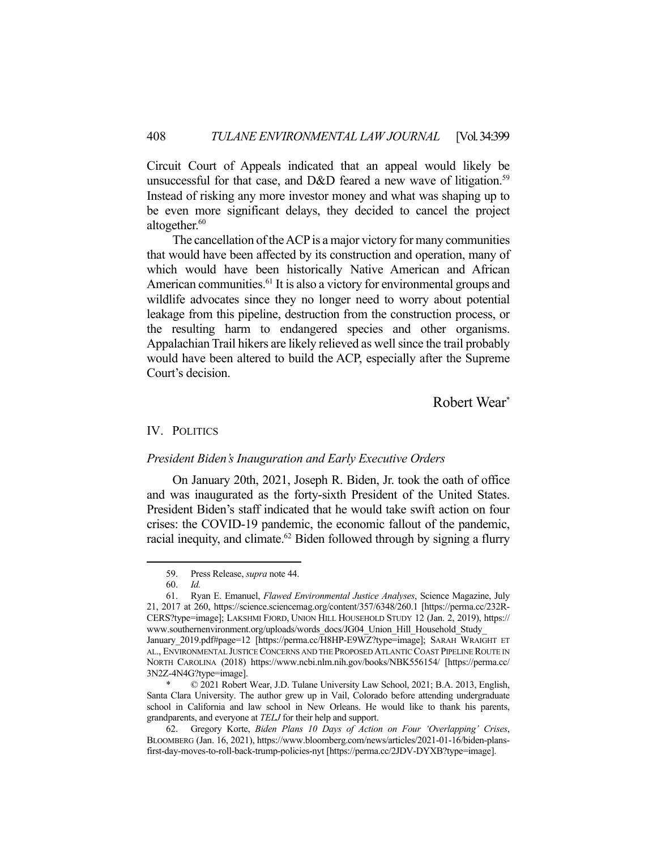Circuit Court of Appeals indicated that an appeal would likely be unsuccessful for that case, and D&D feared a new wave of litigation.<sup>59</sup> Instead of risking any more investor money and what was shaping up to be even more significant delays, they decided to cancel the project altogether.<sup>60</sup>

 The cancellation of the ACP is a major victory for many communities that would have been affected by its construction and operation, many of which would have been historically Native American and African American communities.<sup>61</sup> It is also a victory for environmental groups and wildlife advocates since they no longer need to worry about potential leakage from this pipeline, destruction from the construction process, or the resulting harm to endangered species and other organisms. Appalachian Trail hikers are likely relieved as well since the trail probably would have been altered to build the ACP, especially after the Supreme Court's decision.

Robert Wear\*

### IV. POLITICS

#### *President Biden's Inauguration and Early Executive Orders*

 On January 20th, 2021, Joseph R. Biden, Jr. took the oath of office and was inaugurated as the forty-sixth President of the United States. President Biden's staff indicated that he would take swift action on four crises: the COVID-19 pandemic, the economic fallout of the pandemic, racial inequity, and climate.<sup>62</sup> Biden followed through by signing a flurry

 <sup>59.</sup> Press Release, *supra* note 44.

 <sup>60.</sup> *Id.* 

 <sup>61.</sup> Ryan E. Emanuel, *Flawed Environmental Justice Analyses*, Science Magazine, July 21, 2017 at 260, https://science.sciencemag.org/content/357/6348/260.1 [https://perma.cc/232R-CERS?type=image]; LAKSHMI FJORD, UNION HILL HOUSEHOLD STUDY 12 (Jan. 2, 2019), https:// www.southernenvironment.org/uploads/words\_docs/JG04\_Union\_Hill\_Household\_Study January\_2019.pdf#page=12 [https://perma.cc/H8HP-E9WZ?type=image]; SARAH WRAIGHT ET AL., ENVIRONMENTAL JUSTICE CONCERNS AND THE PROPOSED ATLANTIC COAST PIPELINE ROUTE IN NORTH CAROLINA (2018) https://www.ncbi.nlm.nih.gov/books/NBK556154/ [https://perma.cc/

<sup>3</sup>N2Z-4N4G?type=image].

 $© 2021 Robert Wear, J.D. Tulane University Law School, 2021; B.A. 2013, English,$ Santa Clara University. The author grew up in Vail, Colorado before attending undergraduate school in California and law school in New Orleans. He would like to thank his parents, grandparents, and everyone at *TELJ* for their help and support.

 <sup>62.</sup> Gregory Korte, *Biden Plans 10 Days of Action on Four 'Overlapping' Crises*, BLOOMBERG (Jan. 16, 2021), https://www.bloomberg.com/news/articles/2021-01-16/biden-plansfirst-day-moves-to-roll-back-trump-policies-nyt [https://perma.cc/2JDV-DYXB?type=image].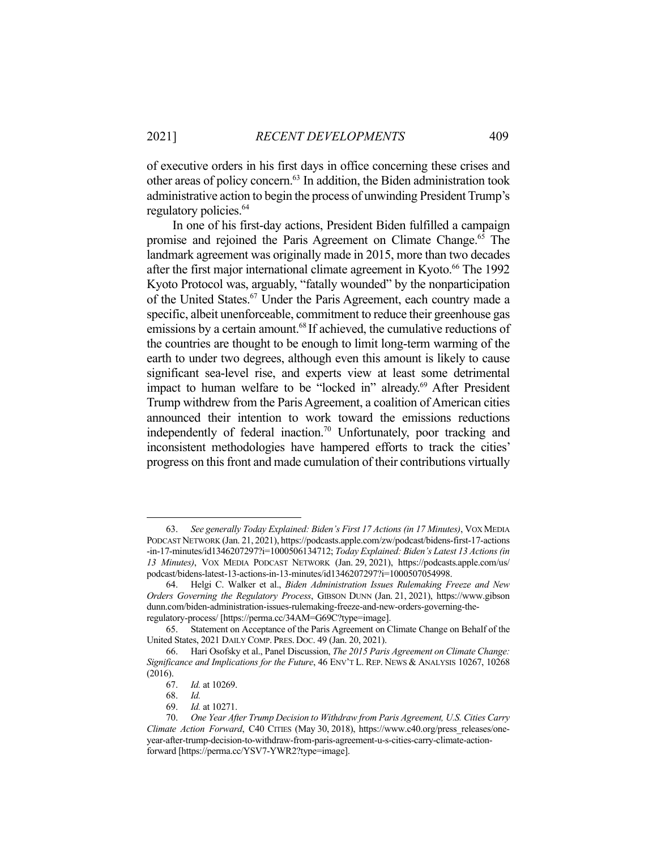of executive orders in his first days in office concerning these crises and other areas of policy concern.63 In addition, the Biden administration took administrative action to begin the process of unwinding President Trump's regulatory policies.<sup>64</sup>

 In one of his first-day actions, President Biden fulfilled a campaign promise and rejoined the Paris Agreement on Climate Change.<sup>65</sup> The landmark agreement was originally made in 2015, more than two decades after the first major international climate agreement in Kyoto.<sup>66</sup> The 1992 Kyoto Protocol was, arguably, "fatally wounded" by the nonparticipation of the United States.<sup>67</sup> Under the Paris Agreement, each country made a specific, albeit unenforceable, commitment to reduce their greenhouse gas emissions by a certain amount.<sup>68</sup> If achieved, the cumulative reductions of the countries are thought to be enough to limit long-term warming of the earth to under two degrees, although even this amount is likely to cause significant sea-level rise, and experts view at least some detrimental impact to human welfare to be "locked in" already.<sup>69</sup> After President Trump withdrew from the Paris Agreement, a coalition of American cities announced their intention to work toward the emissions reductions independently of federal inaction.<sup>70</sup> Unfortunately, poor tracking and inconsistent methodologies have hampered efforts to track the cities' progress on this front and made cumulation of their contributions virtually

 <sup>63.</sup> *See generally Today Explained: Biden's First 17 Actions (in 17 Minutes)*, VOX MEDIA PODCAST NETWORK (Jan. 21, 2021), https://podcasts.apple.com/zw/podcast/bidens-first-17-actions -in-17-minutes/id1346207297?i=1000506134712; *Today Explained: Biden's Latest 13 Actions (in 13 Minutes)*, VOX MEDIA PODCAST NETWORK (Jan. 29, 2021), https://podcasts.apple.com/us/ podcast/bidens-latest-13-actions-in-13-minutes/id1346207297?i=1000507054998.

 <sup>64.</sup> Helgi C. Walker et al., *Biden Administration Issues Rulemaking Freeze and New Orders Governing the Regulatory Process*, GIBSON DUNN (Jan. 21, 2021), https://www.gibson dunn.com/biden-administration-issues-rulemaking-freeze-and-new-orders-governing-theregulatory-process/ [https://perma.cc/34AM=G69C?type=image].

 <sup>65.</sup> Statement on Acceptance of the Paris Agreement on Climate Change on Behalf of the United States, 2021 DAILY COMP. PRES. DOC. 49 (Jan. 20, 2021).

 <sup>66.</sup> Hari Osofsky et al., Panel Discussion, *The 2015 Paris Agreement on Climate Change: Significance and Implications for the Future*, 46 ENV'T L. REP. NEWS & ANALYSIS 10267, 10268 (2016).

 <sup>67.</sup> *Id.* at 10269.

 <sup>68.</sup> *Id.*

 <sup>69.</sup> *Id.* at 10271.

 <sup>70.</sup> *One Year After Trump Decision to Withdraw from Paris Agreement, U.S. Cities Carry Climate Action Forward*, C40 CITIES (May 30, 2018), https://www.c40.org/press\_releases/oneyear-after-trump-decision-to-withdraw-from-paris-agreement-u-s-cities-carry-climate-actionforward [https://perma.cc/YSV7-YWR2?type=image].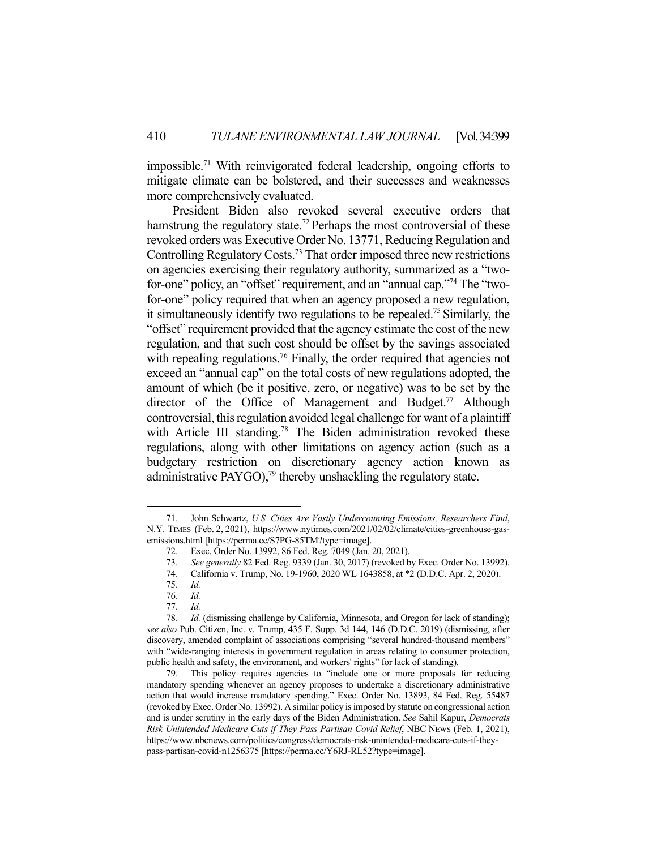impossible.71 With reinvigorated federal leadership, ongoing efforts to mitigate climate can be bolstered, and their successes and weaknesses more comprehensively evaluated.

 President Biden also revoked several executive orders that hamstrung the regulatory state.<sup>72</sup> Perhaps the most controversial of these revoked orders was Executive Order No. 13771, Reducing Regulation and Controlling Regulatory Costs.73 That order imposed three new restrictions on agencies exercising their regulatory authority, summarized as a "twofor-one" policy, an "offset" requirement, and an "annual cap."74 The "twofor-one" policy required that when an agency proposed a new regulation, it simultaneously identify two regulations to be repealed.<sup>75</sup> Similarly, the "offset" requirement provided that the agency estimate the cost of the new regulation, and that such cost should be offset by the savings associated with repealing regulations.<sup>76</sup> Finally, the order required that agencies not exceed an "annual cap" on the total costs of new regulations adopted, the amount of which (be it positive, zero, or negative) was to be set by the director of the Office of Management and Budget.<sup>77</sup> Although controversial, this regulation avoided legal challenge for want of a plaintiff with Article III standing.<sup>78</sup> The Biden administration revoked these regulations, along with other limitations on agency action (such as a budgetary restriction on discretionary agency action known as administrative PAYGO), $^{79}$  thereby unshackling the regulatory state.

 <sup>71.</sup> John Schwartz, *U.S. Cities Are Vastly Undercounting Emissions, Researchers Find*, N.Y. TIMES (Feb. 2, 2021), https://www.nytimes.com/2021/02/02/climate/cities-greenhouse-gasemissions.html [https://perma.cc/S7PG-85TM?type=image].

 <sup>72.</sup> Exec. Order No. 13992, 86 Fed. Reg. 7049 (Jan. 20, 2021).

 <sup>73.</sup> *See generally* 82 Fed. Reg. 9339 (Jan. 30, 2017) (revoked by Exec. Order No. 13992).

 <sup>74.</sup> California v. Trump, No. 19-1960, 2020 WL 1643858, at \*2 (D.D.C. Apr. 2, 2020).

 <sup>75.</sup> *Id.* 

 <sup>76.</sup> *Id.* 

 <sup>77.</sup> *Id.* 

 <sup>78.</sup> *Id.* (dismissing challenge by California, Minnesota, and Oregon for lack of standing); *see also* Pub. Citizen, Inc. v. Trump, 435 F. Supp. 3d 144, 146 (D.D.C. 2019) (dismissing, after discovery, amended complaint of associations comprising "several hundred-thousand members" with "wide-ranging interests in government regulation in areas relating to consumer protection, public health and safety, the environment, and workers' rights" for lack of standing).

This policy requires agencies to "include one or more proposals for reducing mandatory spending whenever an agency proposes to undertake a discretionary administrative action that would increase mandatory spending." Exec. Order No. 13893, 84 Fed. Reg. 55487 (revoked by Exec. Order No. 13992). A similar policy is imposed by statute on congressional action and is under scrutiny in the early days of the Biden Administration. *See* Sahil Kapur, *Democrats Risk Unintended Medicare Cuts if They Pass Partisan Covid Relief*, NBC NEWS (Feb. 1, 2021), https://www.nbcnews.com/politics/congress/democrats-risk-unintended-medicare-cuts-if-theypass-partisan-covid-n1256375 [https://perma.cc/Y6RJ-RL52?type=image].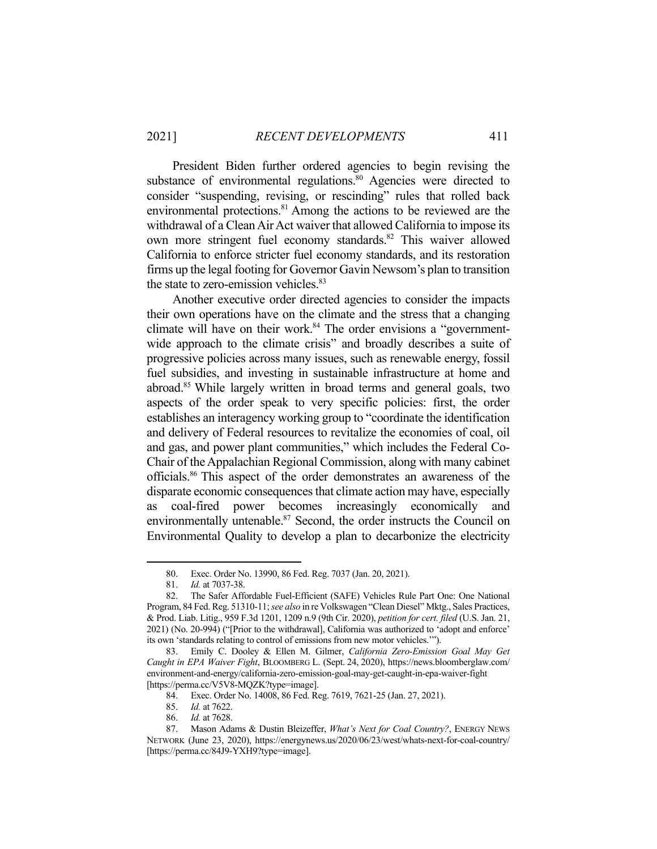President Biden further ordered agencies to begin revising the substance of environmental regulations.<sup>80</sup> Agencies were directed to consider "suspending, revising, or rescinding" rules that rolled back environmental protections.<sup>81</sup> Among the actions to be reviewed are the withdrawal of a Clean Air Act waiver that allowed California to impose its own more stringent fuel economy standards.<sup>82</sup> This waiver allowed California to enforce stricter fuel economy standards, and its restoration firms up the legal footing for Governor Gavin Newsom's plan to transition the state to zero-emission vehicles.<sup>83</sup>

 Another executive order directed agencies to consider the impacts their own operations have on the climate and the stress that a changing climate will have on their work.<sup>84</sup> The order envisions a "governmentwide approach to the climate crisis" and broadly describes a suite of progressive policies across many issues, such as renewable energy, fossil fuel subsidies, and investing in sustainable infrastructure at home and abroad.85 While largely written in broad terms and general goals, two aspects of the order speak to very specific policies: first, the order establishes an interagency working group to "coordinate the identification and delivery of Federal resources to revitalize the economies of coal, oil and gas, and power plant communities," which includes the Federal Co-Chair of the Appalachian Regional Commission, along with many cabinet officials.86 This aspect of the order demonstrates an awareness of the disparate economic consequences that climate action may have, especially as coal-fired power becomes increasingly economically and environmentally untenable.<sup>87</sup> Second, the order instructs the Council on Environmental Quality to develop a plan to decarbonize the electricity

 <sup>80.</sup> Exec. Order No. 13990, 86 Fed. Reg. 7037 (Jan. 20, 2021).

 <sup>81.</sup> *Id.* at 7037-38.

 <sup>82.</sup> The Safer Affordable Fuel-Efficient (SAFE) Vehicles Rule Part One: One National Program, 84 Fed. Reg. 51310-11; *see also* in re Volkswagen "Clean Diesel" Mktg., Sales Practices, & Prod. Liab. Litig., 959 F.3d 1201, 1209 n.9 (9th Cir. 2020), *petition for cert. filed* (U.S. Jan. 21, 2021) (No. 20-994) ("[Prior to the withdrawal], California was authorized to 'adopt and enforce' its own 'standards relating to control of emissions from new motor vehicles.'").

 <sup>83.</sup> Emily C. Dooley & Ellen M. Gilmer, *California Zero-Emission Goal May Get Caught in EPA Waiver Fight*, BLOOMBERG L. (Sept. 24, 2020), https://news.bloomberglaw.com/ environment-and-energy/california-zero-emission-goal-may-get-caught-in-epa-waiver-fight [https://perma.cc/V5V8-MQZK?type=image].

 <sup>84.</sup> Exec. Order No. 14008, 86 Fed. Reg. 7619, 7621-25 (Jan. 27, 2021).

 <sup>85.</sup> *Id.* at 7622.

 <sup>86.</sup> *Id.* at 7628.

 <sup>87.</sup> Mason Adams & Dustin Bleizeffer, *What's Next for Coal Country?*, ENERGY NEWS NETWORK (June 23, 2020), https://energynews.us/2020/06/23/west/whats-next-for-coal-country/ [https://perma.cc/84J9-YXH9?type=image].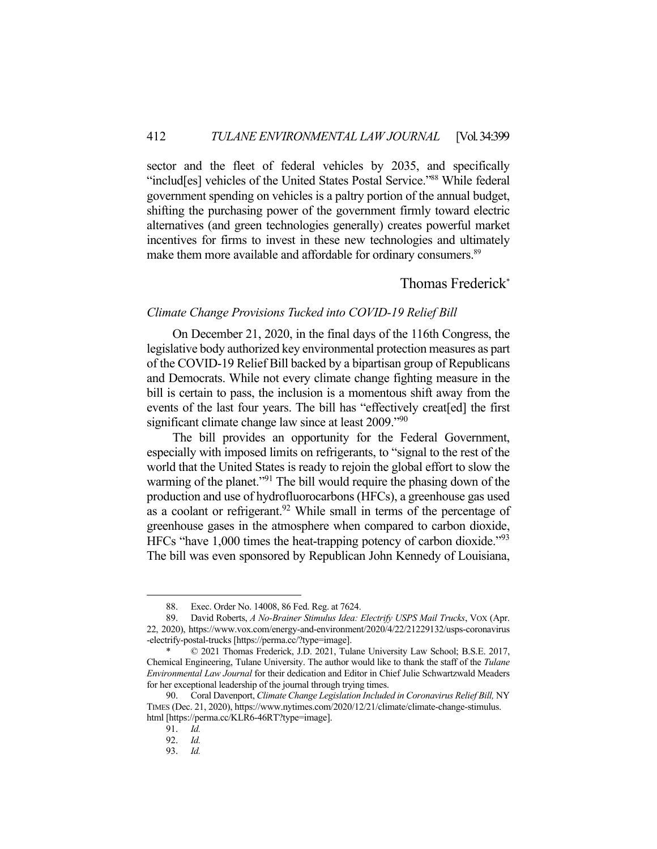sector and the fleet of federal vehicles by 2035, and specifically "includ[es] vehicles of the United States Postal Service."88 While federal government spending on vehicles is a paltry portion of the annual budget, shifting the purchasing power of the government firmly toward electric alternatives (and green technologies generally) creates powerful market incentives for firms to invest in these new technologies and ultimately make them more available and affordable for ordinary consumers.<sup>89</sup>

# Thomas Frederick\*

## *Climate Change Provisions Tucked into COVID-19 Relief Bill*

 On December 21, 2020, in the final days of the 116th Congress, the legislative body authorized key environmental protection measures as part of the COVID-19 Relief Bill backed by a bipartisan group of Republicans and Democrats. While not every climate change fighting measure in the bill is certain to pass, the inclusion is a momentous shift away from the events of the last four years. The bill has "effectively creat[ed] the first significant climate change law since at least 2009.<sup>"90</sup>

 The bill provides an opportunity for the Federal Government, especially with imposed limits on refrigerants, to "signal to the rest of the world that the United States is ready to rejoin the global effort to slow the warming of the planet."<sup>91</sup> The bill would require the phasing down of the production and use of hydrofluorocarbons (HFCs), a greenhouse gas used as a coolant or refrigerant.<sup>92</sup> While small in terms of the percentage of greenhouse gases in the atmosphere when compared to carbon dioxide, HFCs "have 1,000 times the heat-trapping potency of carbon dioxide."<sup>93</sup> The bill was even sponsored by Republican John Kennedy of Louisiana,

 <sup>88.</sup> Exec. Order No. 14008, 86 Fed. Reg. at 7624.

 <sup>89.</sup> David Roberts, *A No-Brainer Stimulus Idea: Electrify USPS Mail Trucks*, VOX (Apr. 22, 2020), https://www.vox.com/energy-and-environment/2020/4/22/21229132/usps-coronavirus -electrify-postal-trucks [https://perma.cc/?type=image].

 $© 2021 Thomas Frederick, J.D. 2021, Tulane University Law School; B.S.E. 2017,$ Chemical Engineering, Tulane University. The author would like to thank the staff of the *Tulane Environmental Law Journal* for their dedication and Editor in Chief Julie Schwartzwald Meaders for her exceptional leadership of the journal through trying times.

 <sup>90.</sup> Coral Davenport, *Climate Change Legislation Included in Coronavirus Relief Bill,* NY TIMES (Dec. 21, 2020), https://www.nytimes.com/2020/12/21/climate/climate-change-stimulus. html [https://perma.cc/KLR6-46RT?type=image].

 <sup>91.</sup> *Id.*

 <sup>92.</sup> *Id.*

 <sup>93.</sup> *Id.*